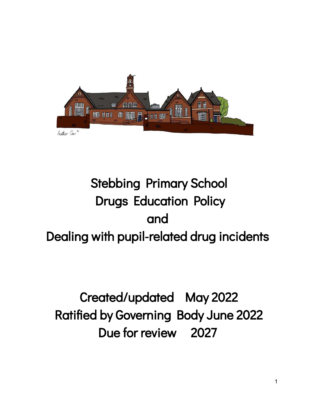

# Stebbing Primary School Drugs Education Policy and Dealing with pupil-related drug incidents

# Created/updated May 2022 Ratified by Governing Body June 2022 Due for review 2027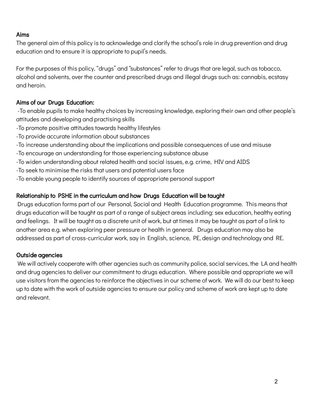### Aims

The general aim of this policy is to acknowledge and clarify the school's role in drug prevention and drug education and to ensure it is appropriate to pupil's needs.

For the purposes of this policy, "drugs" and "substances" refer to drugs that are legal, such as tobacco, alcohol and solvents, over the counter and prescribed drugs and illegal drugs such as: cannabis, ecstasy and heroin.

## Aims of our Drugs Education:

-To enable pupils to make healthy choices by increasing knowledge, exploring their own and other people's attitudes and developing and practising skills

- -To promote positive attitudes towards healthy lifestyles
- -To provide accurate information about substances
- -To increase understanding about the implications and possible consequences of use and misuse
- -To encourage an understanding for those experiencing substance abuse
- -To widen understanding about related health and social issues, e.g. crime, HIV and AIDS
- -To seek to minimise the risks that users and potential users face
- -To enable young people to identify sources of appropriate personal support

## Relationship to PSHE in the curriculum and how Drugs Education will be taught

Drugs education forms part of our Personal, Social and Health Education programme. This means that drugs education will be taught as part of a range of subject areas including: sex education, healthy eating and feelings. It will be taught as a discrete unit of work, but at times it may be taught as part of a link to another area e.g. when exploring peer pressure or health in general. Drugs education may also be addressed as part of cross-curricular work, say in English, science, PE, design and technology and RE.

## Outside agencies

We will actively cooperate with other agencies such as community police, social services, the LA and health and drug agencies to deliver our commitment to drugs education. Where possible and appropriate we will use visitors from the agencies to reinforce the objectives in our scheme of work. We will do our best to keep up to date with the work of outside agencies to ensure our policy and scheme of work are kept up to date and relevant.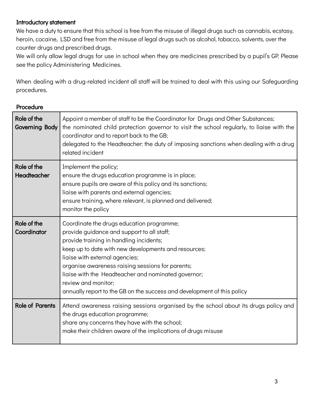### Introductory statement

We have a duty to ensure that this school is free from the misuse of illegal drugs such as cannabis, ecstasy, heroin, cocaine, LSD and free from the misuse of legal drugs such as alcohol, tobacco, solvents, over the counter drugs and prescribed drugs.

We will only allow legal drugs for use in school when they are medicines prescribed by a pupil's GP. Please see the policy Administering Medicines.

When dealing with a drug-related incident all staff will be trained to deal with this using our Safeguarding procedures.

#### Procedure

| Role of the<br><b>Governing Body</b> | Appoint a member of staff to be the Coordinator for Drugs and Other Substances;<br>the nominated child protection governor to visit the school regularly, to liaise with the<br>coordinator and to report back to the GB;<br>delegated to the Headteacher: the duty of imposing sanctions when dealing with a drug<br>related incident                                                                                                    |
|--------------------------------------|-------------------------------------------------------------------------------------------------------------------------------------------------------------------------------------------------------------------------------------------------------------------------------------------------------------------------------------------------------------------------------------------------------------------------------------------|
| Role of the<br>Headteacher           | Implement the policy;<br>ensure the drugs education programme is in place;<br>ensure pupils are aware of this policy and its sanctions;<br>liaise with parents and external agencies;<br>ensure training, where relevant, is planned and delivered;<br>monitor the policy                                                                                                                                                                 |
| Role of the<br>Coordinator           | Coordinate the drugs education programme;<br>provide guidance and support to all staff;<br>provide training in handling incidents;<br>keep up to date with new developments and resources;<br>liaise with external agencies;<br>organise awareness raising sessions for parents;<br>liaise with the Headteacher and nominated governor;<br>review and monitor;<br>annually report to the GB on the success and development of this policy |
| <b>Role of Parents</b>               | Attend awareness raising sessions organised by the school about its drugs policy and<br>the drugs education programme;<br>share any concerns they have with the school;<br>make their children aware of the implications of drugs misuse                                                                                                                                                                                                  |